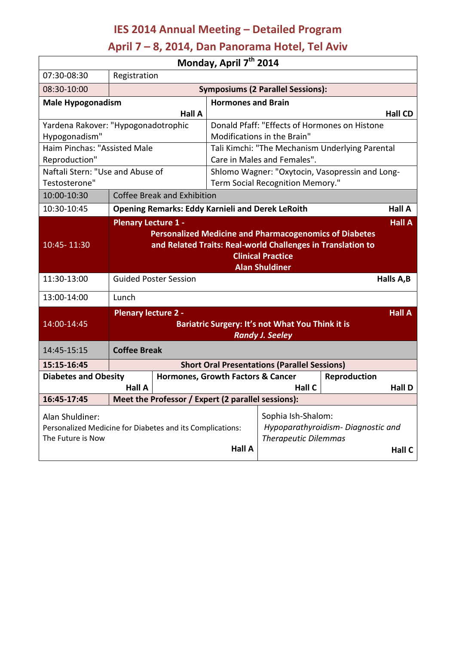## **IES 2014 Annual Meeting – Detailed Program**

## **April 7 – 8, 2014, Dan Panorama Hotel, Tel Aviv**

| Monday, April 7 <sup>th</sup> 2014                                                                |                                                                                                                                                                                   |                                                    |                                                 |                                                                                                  |                |  |  |  |
|---------------------------------------------------------------------------------------------------|-----------------------------------------------------------------------------------------------------------------------------------------------------------------------------------|----------------------------------------------------|-------------------------------------------------|--------------------------------------------------------------------------------------------------|----------------|--|--|--|
| 07:30-08:30                                                                                       | Registration                                                                                                                                                                      |                                                    |                                                 |                                                                                                  |                |  |  |  |
| 08:30-10:00                                                                                       | <b>Symposiums (2 Parallel Sessions):</b>                                                                                                                                          |                                                    |                                                 |                                                                                                  |                |  |  |  |
| <b>Male Hypogonadism</b>                                                                          |                                                                                                                                                                                   |                                                    | <b>Hormones and Brain</b>                       |                                                                                                  |                |  |  |  |
|                                                                                                   |                                                                                                                                                                                   | <b>Hall A</b>                                      |                                                 |                                                                                                  | <b>Hall CD</b> |  |  |  |
| Yardena Rakover: "Hypogonadotrophic                                                               |                                                                                                                                                                                   |                                                    | Donald Pfaff: "Effects of Hormones on Histone   |                                                                                                  |                |  |  |  |
| Hypogonadism"                                                                                     |                                                                                                                                                                                   |                                                    | Modifications in the Brain"                     |                                                                                                  |                |  |  |  |
| Haim Pinchas: "Assisted Male                                                                      |                                                                                                                                                                                   |                                                    | Tali Kimchi: "The Mechanism Underlying Parental |                                                                                                  |                |  |  |  |
| Reproduction"                                                                                     |                                                                                                                                                                                   |                                                    | Care in Males and Females".                     |                                                                                                  |                |  |  |  |
| Naftali Stern: "Use and Abuse of<br>Testosterone"                                                 |                                                                                                                                                                                   |                                                    | Shlomo Wagner: "Oxytocin, Vasopressin and Long- |                                                                                                  |                |  |  |  |
| 10:00-10:30                                                                                       |                                                                                                                                                                                   |                                                    | Term Social Recognition Memory."                |                                                                                                  |                |  |  |  |
|                                                                                                   | <b>Coffee Break and Exhibition</b>                                                                                                                                                |                                                    |                                                 |                                                                                                  |                |  |  |  |
| 10:30-10:45                                                                                       | <b>Opening Remarks: Eddy Karnieli and Derek LeRoith</b><br><b>Hall A</b><br><b>Hall A</b><br><b>Plenary Lecture 1 -</b>                                                           |                                                    |                                                 |                                                                                                  |                |  |  |  |
| 10:45-11:30                                                                                       | <b>Personalized Medicine and Pharmacogenomics of Diabetes</b><br>and Related Traits: Real-world Challenges in Translation to<br><b>Clinical Practice</b><br><b>Alan Shuldiner</b> |                                                    |                                                 |                                                                                                  |                |  |  |  |
| 11:30-13:00                                                                                       | <b>Guided Poster Session</b><br>Halls A,B                                                                                                                                         |                                                    |                                                 |                                                                                                  |                |  |  |  |
| 13:00-14:00                                                                                       | Lunch                                                                                                                                                                             |                                                    |                                                 |                                                                                                  |                |  |  |  |
| 14:00-14:45                                                                                       | <b>Hall A</b><br><b>Plenary lecture 2 -</b><br>Bariatric Surgery: It's not What You Think it is<br><b>Randy J. Seeley</b>                                                         |                                                    |                                                 |                                                                                                  |                |  |  |  |
| 14:45-15:15                                                                                       | <b>Coffee Break</b>                                                                                                                                                               |                                                    |                                                 |                                                                                                  |                |  |  |  |
| 15:15-16:45                                                                                       | <b>Short Oral Presentations (Parallel Sessions)</b>                                                                                                                               |                                                    |                                                 |                                                                                                  |                |  |  |  |
| <b>Diabetes and Obesity</b>                                                                       |                                                                                                                                                                                   |                                                    | Hormones, Growth Factors & Cancer               |                                                                                                  | Reproduction   |  |  |  |
|                                                                                                   | <b>Hall A</b>                                                                                                                                                                     |                                                    |                                                 | Hall C                                                                                           | <b>Hall D</b>  |  |  |  |
| 16:45-17:45                                                                                       |                                                                                                                                                                                   | Meet the Professor / Expert (2 parallel sessions): |                                                 |                                                                                                  |                |  |  |  |
| Alan Shuldiner:<br>Personalized Medicine for Diabetes and its Complications:<br>The Future is Now |                                                                                                                                                                                   |                                                    | <b>Hall A</b>                                   | Sophia Ish-Shalom:<br>Hypoparathyroidism-Diagnostic and<br><b>Therapeutic Dilemmas</b><br>Hall C |                |  |  |  |